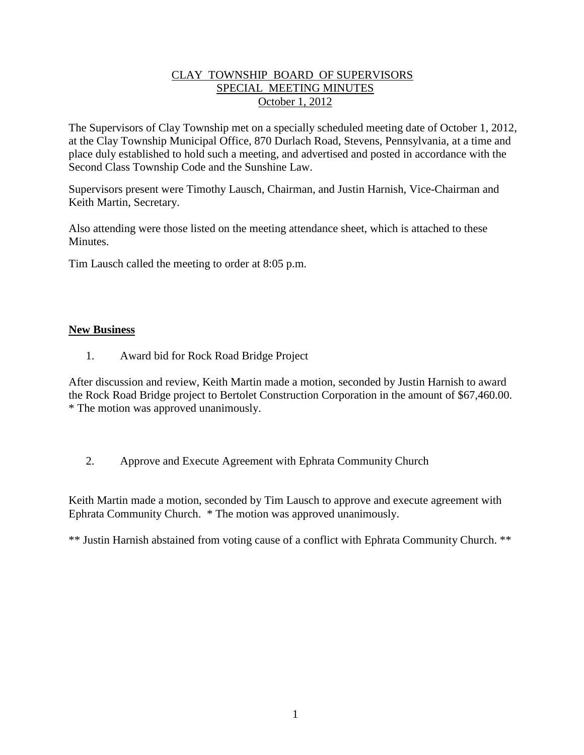## CLAY TOWNSHIP BOARD OF SUPERVISORS SPECIAL MEETING MINUTES October 1, 2012

The Supervisors of Clay Township met on a specially scheduled meeting date of October 1, 2012, at the Clay Township Municipal Office, 870 Durlach Road, Stevens, Pennsylvania, at a time and place duly established to hold such a meeting, and advertised and posted in accordance with the Second Class Township Code and the Sunshine Law.

Supervisors present were Timothy Lausch, Chairman, and Justin Harnish, Vice-Chairman and Keith Martin, Secretary.

Also attending were those listed on the meeting attendance sheet, which is attached to these Minutes.

Tim Lausch called the meeting to order at 8:05 p.m.

## **New Business**

1. Award bid for Rock Road Bridge Project

After discussion and review, Keith Martin made a motion, seconded by Justin Harnish to award the Rock Road Bridge project to Bertolet Construction Corporation in the amount of \$67,460.00. \* The motion was approved unanimously.

2. Approve and Execute Agreement with Ephrata Community Church

Keith Martin made a motion, seconded by Tim Lausch to approve and execute agreement with Ephrata Community Church. \* The motion was approved unanimously.

\*\* Justin Harnish abstained from voting cause of a conflict with Ephrata Community Church. \*\*